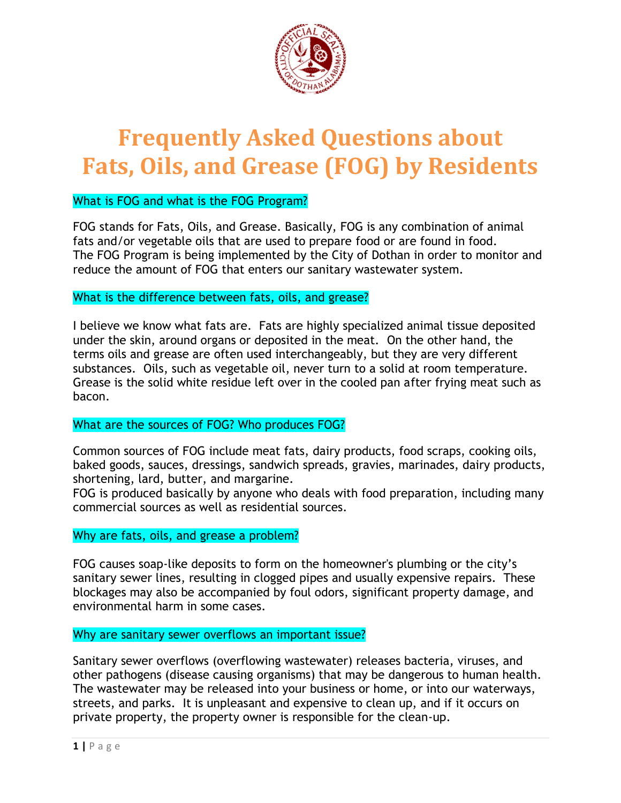

# What is FOG and what is the FOG Program?

FOG stands for Fats, Oils, and Grease. Basically, FOG is any combination of animal fats and/or vegetable oils that are used to prepare food or are found in food. The FOG Program is being implemented by the City of Dothan in order to monitor and reduce the amount of FOG that enters our sanitary wastewater system.

# What is the difference between fats, oils, and grease?

I believe we know what fats are. Fats are highly specialized animal tissue deposited under the skin, around organs or deposited in the meat. On the other hand, the terms oils and grease are often used interchangeably, but they are very different substances. Oils, such as vegetable oil, never turn to a solid at room temperature. Grease is the solid white residue left over in the cooled pan after frying meat such as bacon.

# What are the sources of FOG? Who produces FOG?

Common sources of FOG include meat fats, dairy products, food scraps, cooking oils, baked goods, sauces, dressings, sandwich spreads, gravies, marinades, dairy products, shortening, lard, butter, and margarine.

FOG is produced basically by anyone who deals with food preparation, including many commercial sources as well as residential sources.

# Why are fats, oils, and grease a problem?

FOG causes soap-like deposits to form on the homeowner's plumbing or the city's sanitary sewer lines, resulting in clogged pipes and usually expensive repairs. These blockages may also be accompanied by foul odors, significant property damage, and environmental harm in some cases.

# Why are sanitary sewer overflows an important issue?

Sanitary sewer overflows (overflowing wastewater) releases bacteria, viruses, and other pathogens (disease causing organisms) that may be dangerous to human health. The wastewater may be released into your business or home, or into our waterways, streets, and parks. It is unpleasant and expensive to clean up, and if it occurs on private property, the property owner is responsible for the clean-up.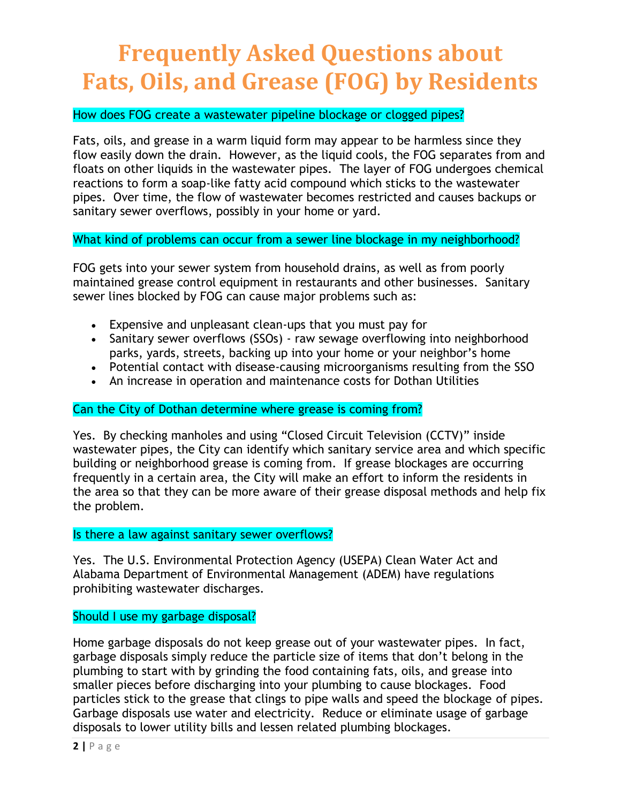### How does FOG create a wastewater pipeline blockage or clogged pipes?

Fats, oils, and grease in a warm liquid form may appear to be harmless since they flow easily down the drain. However, as the liquid cools, the FOG separates from and floats on other liquids in the wastewater pipes. The layer of FOG undergoes chemical reactions to form a soap-like fatty acid compound which sticks to the wastewater pipes. Over time, the flow of wastewater becomes restricted and causes backups or sanitary sewer overflows, possibly in your home or yard.

What kind of problems can occur from a sewer line blockage in my neighborhood?

FOG gets into your sewer system from household drains, as well as from poorly maintained grease control equipment in restaurants and other businesses. Sanitary sewer lines blocked by FOG can cause major problems such as:

- Expensive and unpleasant clean-ups that you must pay for
- Sanitary sewer overflows (SSOs) raw sewage overflowing into neighborhood parks, yards, streets, backing up into your home or your neighbor's home
- Potential contact with disease-causing microorganisms resulting from the SSO
- An increase in operation and maintenance costs for Dothan Utilities

# Can the City of Dothan determine where grease is coming from?

Yes. By checking manholes and using "Closed Circuit Television (CCTV)" inside wastewater pipes, the City can identify which sanitary service area and which specific building or neighborhood grease is coming from. If grease blockages are occurring frequently in a certain area, the City will make an effort to inform the residents in the area so that they can be more aware of their grease disposal methods and help fix the problem.

#### Is there a law against sanitary sewer overflows?

Yes. The U.S. Environmental Protection Agency (USEPA) Clean Water Act and Alabama Department of Environmental Management (ADEM) have regulations prohibiting wastewater discharges.

#### Should I use my garbage disposal?

Home garbage disposals do not keep grease out of your wastewater pipes. In fact, garbage disposals simply reduce the particle size of items that don't belong in the plumbing to start with by grinding the food containing fats, oils, and grease into smaller pieces before discharging into your plumbing to cause blockages. Food particles stick to the grease that clings to pipe walls and speed the blockage of pipes. Garbage disposals use water and electricity. Reduce or eliminate usage of garbage disposals to lower utility bills and lessen related plumbing blockages.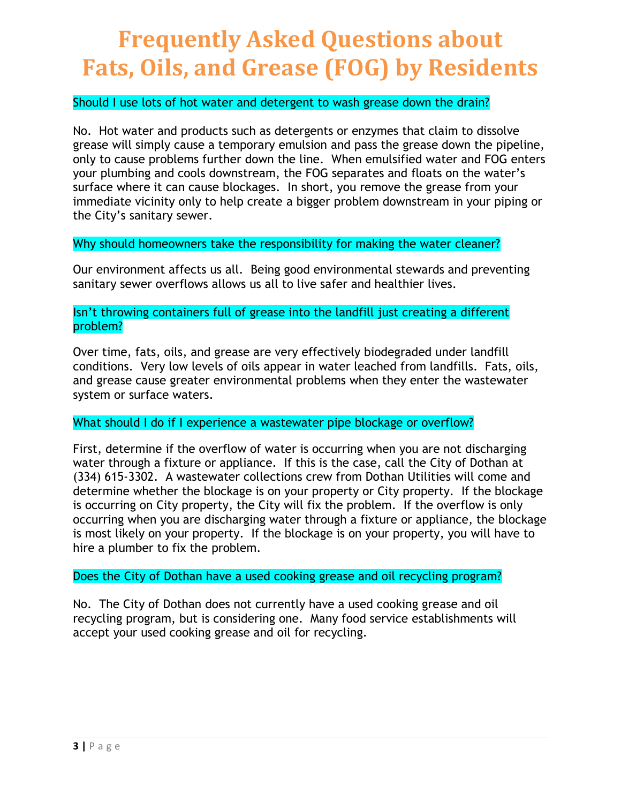### Should I use lots of hot water and detergent to wash grease down the drain?

No. Hot water and products such as detergents or enzymes that claim to dissolve grease will simply cause a temporary emulsion and pass the grease down the pipeline, only to cause problems further down the line. When emulsified water and FOG enters your plumbing and cools downstream, the FOG separates and floats on the water's surface where it can cause blockages. In short, you remove the grease from your immediate vicinity only to help create a bigger problem downstream in your piping or the City's sanitary sewer.

Why should homeowners take the responsibility for making the water cleaner?

Our environment affects us all. Being good environmental stewards and preventing sanitary sewer overflows allows us all to live safer and healthier lives.

Isn't throwing containers full of grease into the landfill just creating a different problem?

Over time, fats, oils, and grease are very effectively biodegraded under landfill conditions. Very low levels of oils appear in water leached from landfills. Fats, oils, and grease cause greater environmental problems when they enter the wastewater system or surface waters.

# What should I do if I experience a wastewater pipe blockage or overflow?

First, determine if the overflow of water is occurring when you are not discharging water through a fixture or appliance. If this is the case, call the City of Dothan at (334) 615-3302. A wastewater collections crew from Dothan Utilities will come and determine whether the blockage is on your property or City property. If the blockage is occurring on City property, the City will fix the problem. If the overflow is only occurring when you are discharging water through a fixture or appliance, the blockage is most likely on your property. If the blockage is on your property, you will have to hire a plumber to fix the problem.

### Does the City of Dothan have a used cooking grease and oil recycling program?

No. The City of Dothan does not currently have a used cooking grease and oil recycling program, but is considering one. Many food service establishments will accept your used cooking grease and oil for recycling.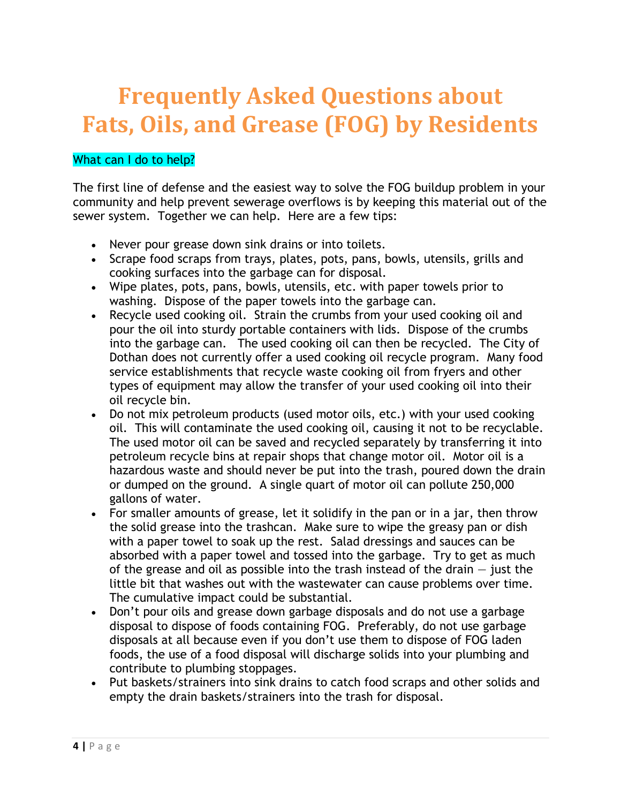# What can I do to help?

The first line of defense and the easiest way to solve the FOG buildup problem in your community and help prevent sewerage overflows is by keeping this material out of the sewer system. Together we can help. Here are a few tips:

- Never pour grease down sink drains or into toilets.
- Scrape food scraps from trays, plates, pots, pans, bowls, utensils, grills and cooking surfaces into the garbage can for disposal.
- Wipe plates, pots, pans, bowls, utensils, etc. with paper towels prior to washing. Dispose of the paper towels into the garbage can.
- Recycle used cooking oil. Strain the crumbs from your used cooking oil and pour the oil into sturdy portable containers with lids. Dispose of the crumbs into the garbage can. The used cooking oil can then be recycled. The City of Dothan does not currently offer a used cooking oil recycle program. Many food service establishments that recycle waste cooking oil from fryers and other types of equipment may allow the transfer of your used cooking oil into their oil recycle bin.
- Do not mix petroleum products (used motor oils, etc.) with your used cooking oil. This will contaminate the used cooking oil, causing it not to be recyclable. The used motor oil can be saved and recycled separately by transferring it into petroleum recycle bins at repair shops that change motor oil. Motor oil is a hazardous waste and should never be put into the trash, poured down the drain or dumped on the ground. A single quart of motor oil can pollute 250,000 gallons of water.
- For smaller amounts of grease, let it solidify in the pan or in a jar, then throw the solid grease into the trashcan. Make sure to wipe the greasy pan or dish with a paper towel to soak up the rest. Salad dressings and sauces can be absorbed with a paper towel and tossed into the garbage. Try to get as much of the grease and oil as possible into the trash instead of the drain  $-$  just the little bit that washes out with the wastewater can cause problems over time. The cumulative impact could be substantial.
- Don't pour oils and grease down garbage disposals and do not use a garbage disposal to dispose of foods containing FOG. Preferably, do not use garbage disposals at all because even if you don't use them to dispose of FOG laden foods, the use of a food disposal will discharge solids into your plumbing and contribute to plumbing stoppages.
- Put baskets/strainers into sink drains to catch food scraps and other solids and empty the drain baskets/strainers into the trash for disposal.